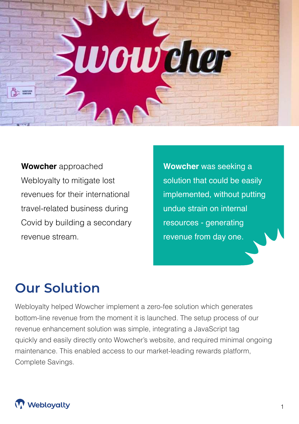

**Wowcher** approached Webloyalty to mitigate lost revenues for their international travel-related business during Covid by building a secondary revenue stream.

**Wowcher** was seeking a solution that could be easily implemented, without putting undue strain on internal resources - generating revenue from day one.

# **Our Solution**

Webloyalty helped Wowcher implement a zero-fee solution which generates bottom-line revenue from the moment it is launched. The setup process of our revenue enhancement solution was simple, integrating a JavaScript tag quickly and easily directly onto Wowcher's website, and required minimal ongoing maintenance. This enabled access to our market-leading rewards platform, Complete Savings.

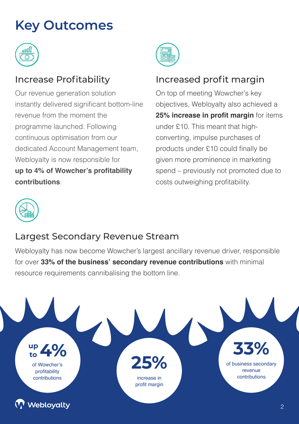# **Key Outcomes**



Our revenue generation solution instantly delivered significant bottom-line revenue from the moment the programme launched. Following continuous optimisation from our dedicated Account Management team, Webloyalty is now responsible for **up to 4% of Wowcher's profitability contributions**.



### Increase Profitability Increased profit margin

On top of meeting Wowcher's key objectives, Webloyalty also achieved a **25% increase in profit margin** for items under £10. This meant that highconverting, impulse purchases of products under £10 could finally be given more prominence in marketing spend – previously not promoted due to costs outweighing profitability.



### Largest Secondary Revenue Stream

Webloyalty has now become Wowcher's largest ancillary revenue driver, responsible for over **33% of the business' secondary revenue contributions** with minimal resource requirements cannibalising the bottom line.